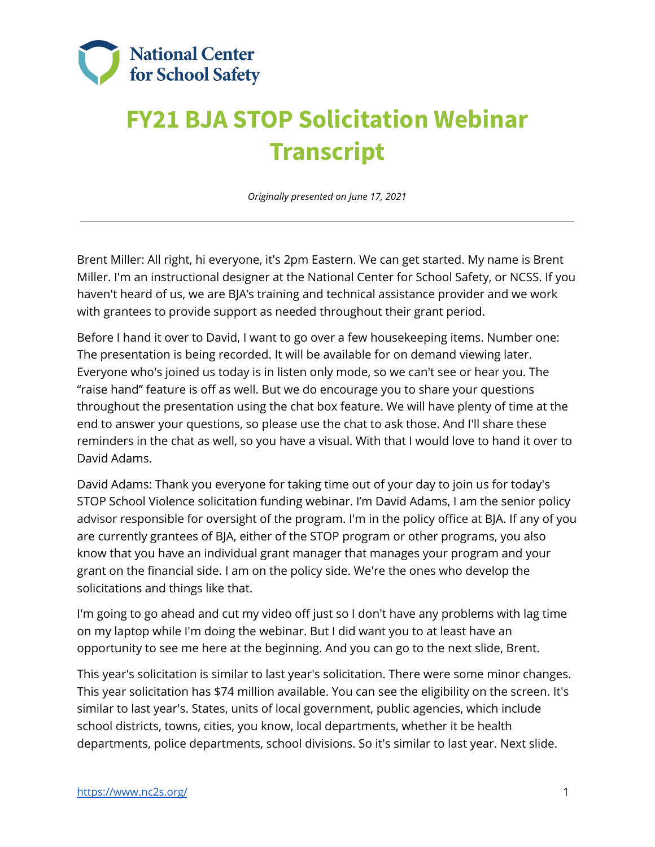

## **FY21 BJA STOP Solicitation Webinar Transcript**

*Originally presented on June 17, 2021*

 Brent Miller: All right, hi everyone, it's 2pm Eastern. We can get started. My name is Brent Miller. I'm an instructional designer at the National Center for School Safety, or NCSS. If you haven't heard of us, we are BJA's training and technical assistance provider and we work with grantees to provide support as needed throughout their grant period.

 Before I hand it over to David, I want to go over a few housekeeping items. Number one: The presentation is being recorded. It will be available for on demand viewing later. Everyone who's joined us today is in listen only mode, so we can't see or hear you. The "raise hand" feature is off as well. But we do encourage you to share your questions throughout the presentation using the chat box feature. We will have plenty of time at the end to answer your questions, so please use the chat to ask those. And I'll share these reminders in the chat as well, so you have a visual. With that I would love to hand it over to David Adams.

 David Adams: Thank you everyone for taking time out of your day to join us for today's STOP School Violence solicitation funding webinar. I'm David Adams, I am the senior policy advisor responsible for oversight of the program. I'm in the policy office at BJA. If any of you are currently grantees of BJA, either of the STOP program or other programs, you also know that you have an individual grant manager that manages your program and your grant on the financial side. I am on the policy side. We're the ones who develop the solicitations and things like that.

 I'm going to go ahead and cut my video off just so I don't have any problems with lag time on my laptop while I'm doing the webinar. But I did want you to at least have an opportunity to see me here at the beginning. And you can go to the next slide, Brent.

 This year's solicitation is similar to last year's solicitation. There were some minor changes. This year solicitation has \$74 million available. You can see the eligibility on the screen. It's similar to last year's. States, units of local government, public agencies, which include school districts, towns, cities, you know, local departments, whether it be health departments, police departments, school divisions. So it's similar to last year. Next slide.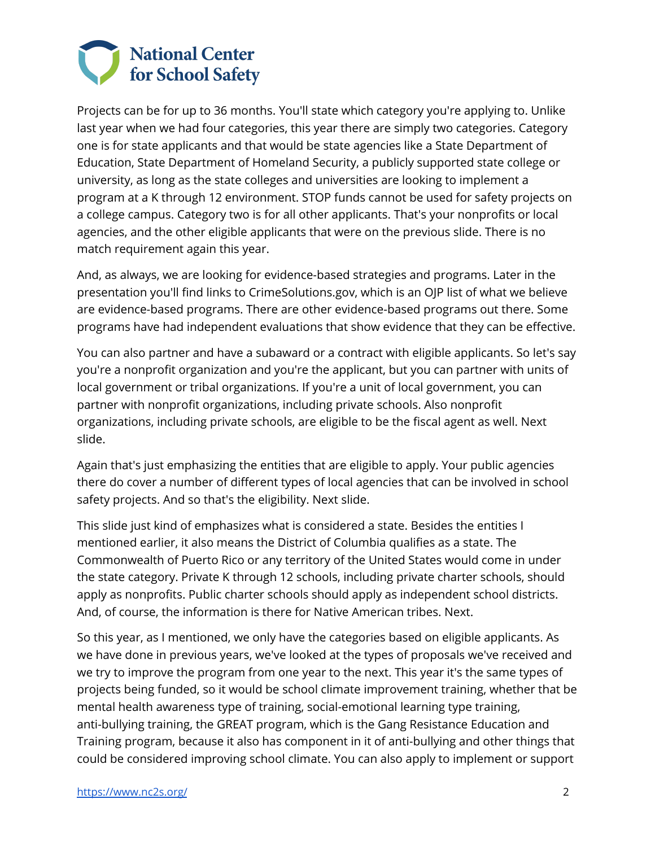

 Projects can be for up to 36 months. You'll state which category you're applying to. Unlike last year when we had four categories, this year there are simply two categories. Category one is for state applicants and that would be state agencies like a State Department of Education, State Department of Homeland Security, a publicly supported state college or university, as long as the state colleges and universities are looking to implement a program at a K through 12 environment. STOP funds cannot be used for safety projects on a college campus. Category two is for all other applicants. That's your nonprofits or local agencies, and the other eligible applicants that were on the previous slide. There is no match requirement again this year.

 And, as always, we are looking for evidence-based strategies and programs. Later in the presentation you'll find links to [CrimeSolutions.gov,](https://CrimeSolutions.gov) which is an OJP list of what we believe are evidence-based programs. There are other evidence-based programs out there. Some programs have had independent evaluations that show evidence that they can be effective.

 You can also partner and have a subaward or a contract with eligible applicants. So let's say you're a nonprofit organization and you're the applicant, but you can partner with units of local government or tribal organizations. If you're a unit of local government, you can partner with nonprofit organizations, including private schools. Also nonprofit organizations, including private schools, are eligible to be the fiscal agent as well. Next slide.

 Again that's just emphasizing the entities that are eligible to apply. Your public agencies there do cover a number of different types of local agencies that can be involved in school safety projects. And so that's the eligibility. Next slide.

 This slide just kind of emphasizes what is considered a state. Besides the entities I mentioned earlier, it also means the District of Columbia qualifies as a state. The Commonwealth of Puerto Rico or any territory of the United States would come in under the state category. Private K through 12 schools, including private charter schools, should apply as nonprofits. Public charter schools should apply as independent school districts. And, of course, the information is there for Native American tribes. Next.

 So this year, as I mentioned, we only have the categories based on eligible applicants. As we have done in previous years, we've looked at the types of proposals we've received and we try to improve the program from one year to the next. This year it's the same types of projects being funded, so it would be school climate improvement training, whether that be mental health awareness type of training, social-emotional learning type training, anti-bullying training, the GREAT program, which is the Gang Resistance Education and Training program, because it also has component in it of anti-bullying and other things that could be considered improving school climate. You can also apply to implement or support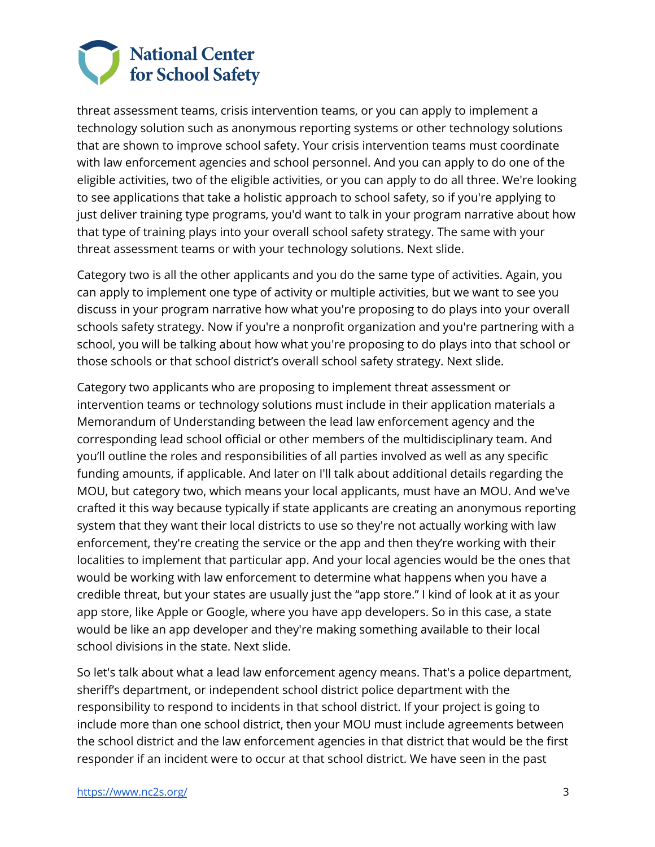

 threat assessment teams, crisis intervention teams, or you can apply to implement a technology solution such as anonymous reporting systems or other technology solutions that are shown to improve school safety. Your crisis intervention teams must coordinate with law enforcement agencies and school personnel. And you can apply to do one of the eligible activities, two of the eligible activities, or you can apply to do all three. We're looking to see applications that take a holistic approach to school safety, so if you're applying to just deliver training type programs, you'd want to talk in your program narrative about how that type of training plays into your overall school safety strategy. The same with your threat assessment teams or with your technology solutions. Next slide.

 Category two is all the other applicants and you do the same type of activities. Again, you can apply to implement one type of activity or multiple activities, but we want to see you discuss in your program narrative how what you're proposing to do plays into your overall schools safety strategy. Now if you're a nonprofit organization and you're partnering with a school, you will be talking about how what you're proposing to do plays into that school or those schools or that school district's overall school safety strategy. Next slide.

 Category two applicants who are proposing to implement threat assessment or intervention teams or technology solutions must include in their application materials a Memorandum of Understanding between the lead law enforcement agency and the corresponding lead school official or other members of the multidisciplinary team. And you'll outline the roles and responsibilities of all parties involved as well as any specific funding amounts, if applicable. And later on I'll talk about additional details regarding the MOU, but category two, which means your local applicants, must have an MOU. And we've crafted it this way because typically if state applicants are creating an anonymous reporting system that they want their local districts to use so they're not actually working with law enforcement, they're creating the service or the app and then they're working with their localities to implement that particular app. And your local agencies would be the ones that would be working with law enforcement to determine what happens when you have a credible threat, but your states are usually just the "app store." I kind of look at it as your app store, like Apple or Google, where you have app developers. So in this case, a state would be like an app developer and they're making something available to their local school divisions in the state. Next slide.

 So let's talk about what a lead law enforcement agency means. That's a police department, sheriff's department, or independent school district police department with the responsibility to respond to incidents in that school district. If your project is going to include more than one school district, then your MOU must include agreements between the school district and the law enforcement agencies in that district that would be the first responder if an incident were to occur at that school district. We have seen in the past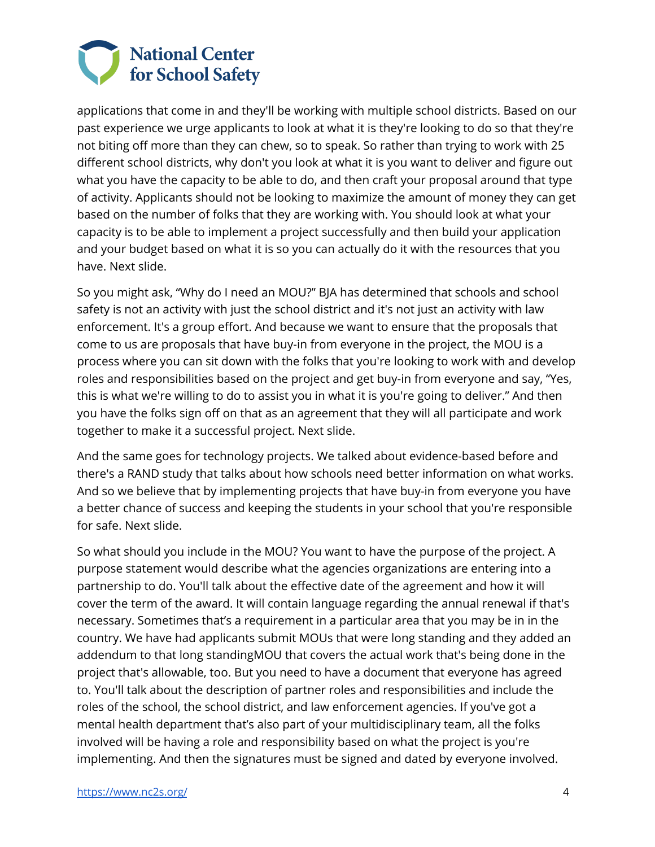

 applications that come in and they'll be working with multiple school districts. Based on our past experience we urge applicants to look at what it is they're looking to do so that they're not biting off more than they can chew, so to speak. So rather than trying to work with 25 different school districts, why don't you look at what it is you want to deliver and figure out what you have the capacity to be able to do, and then craft your proposal around that type of activity. Applicants should not be looking to maximize the amount of money they can get based on the number of folks that they are working with. You should look at what your capacity is to be able to implement a project successfully and then build your application and your budget based on what it is so you can actually do it with the resources that you have. Next slide.

 So you might ask, "Why do I need an MOU?" BJA has determined that schools and school safety is not an activity with just the school district and it's not just an activity with law enforcement. It's a group effort. And because we want to ensure that the proposals that come to us are proposals that have buy-in from everyone in the project, the MOU is a process where you can sit down with the folks that you're looking to work with and develop roles and responsibilities based on the project and get buy-in from everyone and say, "Yes, this is what we're willing to do to assist you in what it is you're going to deliver." And then you have the folks sign off on that as an agreement that they will all participate and work together to make it a successful project. Next slide.

 And the same goes for technology projects. We talked about evidence-based before and there's a RAND study that talks about how schools need better information on what works. And so we believe that by implementing projects that have buy-in from everyone you have a better chance of success and keeping the students in your school that you're responsible for safe. Next slide.

 So what should you include in the MOU? You want to have the purpose of the project. A purpose statement would describe what the agencies organizations are entering into a partnership to do. You'll talk about the effective date of the agreement and how it will cover the term of the award. It will contain language regarding the annual renewal if that's necessary. Sometimes that's a requirement in a particular area that you may be in in the country. We have had applicants submit MOUs that were long standing and they added an addendum to that long standingMOU that covers the actual work that's being done in the project that's allowable, too. But you need to have a document that everyone has agreed to. You'll talk about the description of partner roles and responsibilities and include the roles of the school, the school district, and law enforcement agencies. If you've got a mental health department that's also part of your multidisciplinary team, all the folks involved will be having a role and responsibility based on what the project is you're implementing. And then the signatures must be signed and dated by everyone involved.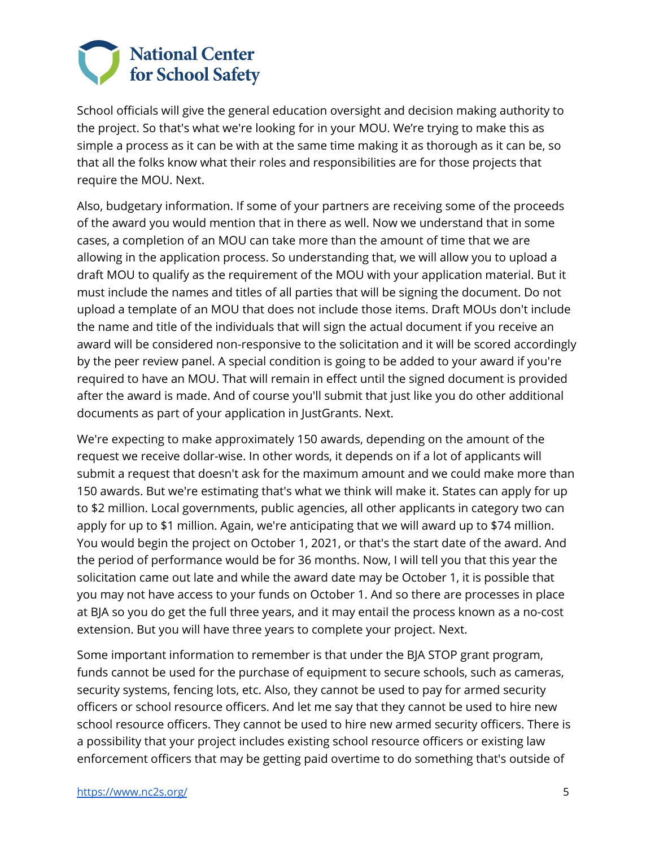

 School officials will give the general education oversight and decision making authority to the project. So that's what we're looking for in your MOU. We're trying to make this as simple a process as it can be with at the same time making it as thorough as it can be, so that all the folks know what their roles and responsibilities are for those projects that require the MOU. Next.

 Also, budgetary information. If some of your partners are receiving some of the proceeds of the award you would mention that in there as well. Now we understand that in some cases, a completion of an MOU can take more than the amount of time that we are allowing in the application process. So understanding that, we will allow you to upload a draft MOU to qualify as the requirement of the MOU with your application material. But it must include the names and titles of all parties that will be signing the document. Do not upload a template of an MOU that does not include those items. Draft MOUs don't include the name and title of the individuals that will sign the actual document if you receive an award will be considered non-responsive to the solicitation and it will be scored accordingly by the peer review panel. A special condition is going to be added to your award if you're required to have an MOU. That will remain in effect until the signed document is provided after the award is made. And of course you'll submit that just like you do other additional documents as part of your application in JustGrants. Next.

 We're expecting to make approximately 150 awards, depending on the amount of the request we receive dollar-wise. In other words, it depends on if a lot of applicants will submit a request that doesn't ask for the maximum amount and we could make more than 150 awards. But we're estimating that's what we think will make it. States can apply for up to \$2 million. Local governments, public agencies, all other applicants in category two can apply for up to \$1 million. Again, we're anticipating that we will award up to \$74 million. You would begin the project on October 1, 2021, or that's the start date of the award. And the period of performance would be for 36 months. Now, I will tell you that this year the solicitation came out late and while the award date may be October 1, it is possible that you may not have access to your funds on October 1. And so there are processes in place at BJA so you do get the full three years, and it may entail the process known as a no-cost extension. But you will have three years to complete your project. Next.

 Some important information to remember is that under the BJA STOP grant program, funds cannot be used for the purchase of equipment to secure schools, such as cameras, security systems, fencing lots, etc. Also, they cannot be used to pay for armed security officers or school resource officers. And let me say that they cannot be used to hire new school resource officers. They cannot be used to hire new armed security officers. There is a possibility that your project includes existing school resource officers or existing law enforcement officers that may be getting paid overtime to do something that's outside of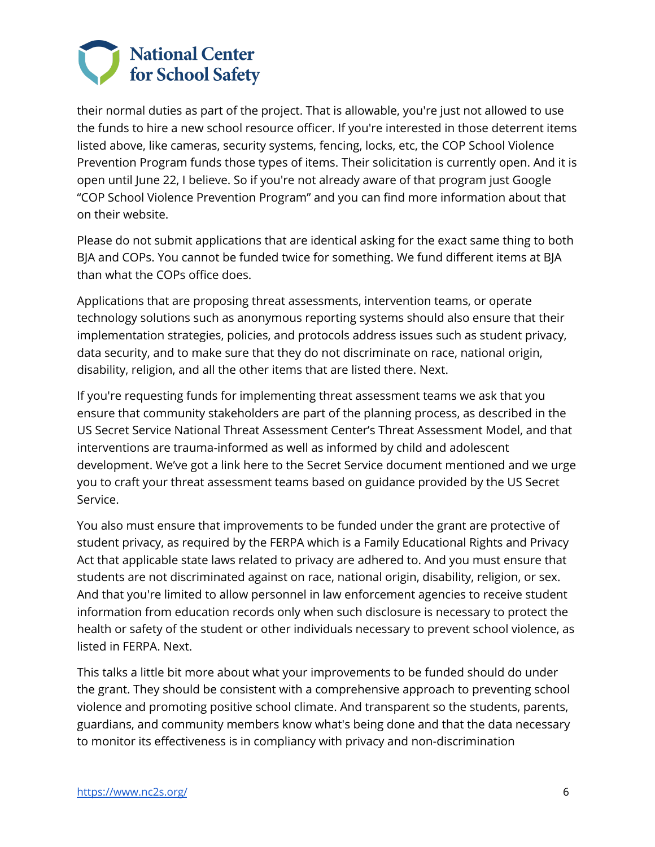

 their normal duties as part of the project. That is allowable, you're just not allowed to use the funds to hire a new school resource officer. If you're interested in those deterrent items listed above, like cameras, security systems, fencing, locks, etc, the COP School Violence Prevention Program funds those types of items. Their solicitation is currently open. And it is open until June 22, I believe. So if you're not already aware of that program just Google "COP School Violence Prevention Program" and you can find more information about that on their website.

 Please do not submit applications that are identical asking for the exact same thing to both BJA and COPs. You cannot be funded twice for something. We fund different items at BJA than what the COPs office does.

 Applications that are proposing threat assessments, intervention teams, or operate technology solutions such as anonymous reporting systems should also ensure that their implementation strategies, policies, and protocols address issues such as student privacy, data security, and to make sure that they do not discriminate on race, national origin, disability, religion, and all the other items that are listed there. Next.

 If you're requesting funds for implementing threat assessment teams we ask that you ensure that community stakeholders are part of the planning process, as described in the US Secret Service National Threat Assessment Center's Threat Assessment Model, and that interventions are trauma-informed as well as informed by child and adolescent development. We've got a link here to the Secret Service document mentioned and we urge you to craft your threat assessment teams based on guidance provided by the US Secret Service.

 You also must ensure that improvements to be funded under the grant are protective of student privacy, as required by the FERPA which is a Family Educational Rights and Privacy Act that applicable state laws related to privacy are adhered to. And you must ensure that students are not discriminated against on race, national origin, disability, religion, or sex. And that you're limited to allow personnel in law enforcement agencies to receive student information from education records only when such disclosure is necessary to protect the health or safety of the student or other individuals necessary to prevent school violence, as listed in FERPA. Next.

 This talks a little bit more about what your improvements to be funded should do under the grant. They should be consistent with a comprehensive approach to preventing school violence and promoting positive school climate. And transparent so the students, parents, guardians, and community members know what's being done and that the data necessary to monitor its effectiveness is in compliancy with privacy and non-discrimination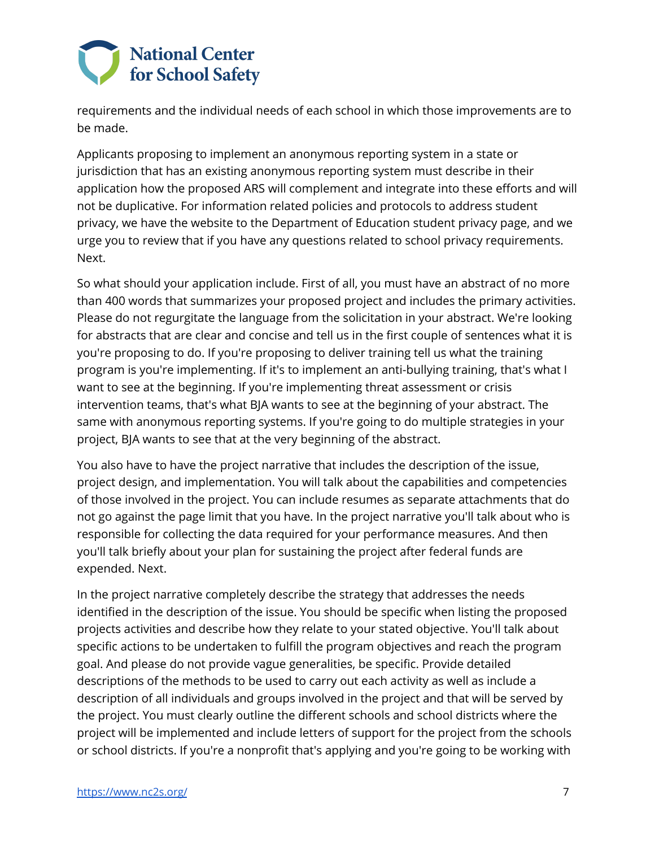

 requirements and the individual needs of each school in which those improvements are to be made.

 Applicants proposing to implement an anonymous reporting system in a state or jurisdiction that has an existing anonymous reporting system must describe in their application how the proposed ARS will complement and integrate into these efforts and will not be duplicative. For information related policies and protocols to address student privacy, we have the website to the Department of Education student privacy page, and we urge you to review that if you have any questions related to school privacy requirements. Next.

 So what should your application include. First of all, you must have an abstract of no more than 400 words that summarizes your proposed project and includes the primary activities. Please do not regurgitate the language from the solicitation in your abstract. We're looking for abstracts that are clear and concise and tell us in the first couple of sentences what it is you're proposing to do. If you're proposing to deliver training tell us what the training program is you're implementing. If it's to implement an anti-bullying training, that's what I want to see at the beginning. If you're implementing threat assessment or crisis intervention teams, that's what BJA wants to see at the beginning of your abstract. The same with anonymous reporting systems. If you're going to do multiple strategies in your project, BJA wants to see that at the very beginning of the abstract.

 You also have to have the project narrative that includes the description of the issue, project design, and implementation. You will talk about the capabilities and competencies of those involved in the project. You can include resumes as separate attachments that do not go against the page limit that you have. In the project narrative you'll talk about who is responsible for collecting the data required for your performance measures. And then you'll talk briefly about your plan for sustaining the project after federal funds are expended. Next.

 In the project narrative completely describe the strategy that addresses the needs identified in the description of the issue. You should be specific when listing the proposed projects activities and describe how they relate to your stated objective. You'll talk about specific actions to be undertaken to fulfill the program objectives and reach the program goal. And please do not provide vague generalities, be specific. Provide detailed descriptions of the methods to be used to carry out each activity as well as include a description of all individuals and groups involved in the project and that will be served by the project. You must clearly outline the different schools and school districts where the project will be implemented and include letters of support for the project from the schools or school districts. If you're a nonprofit that's applying and you're going to be working with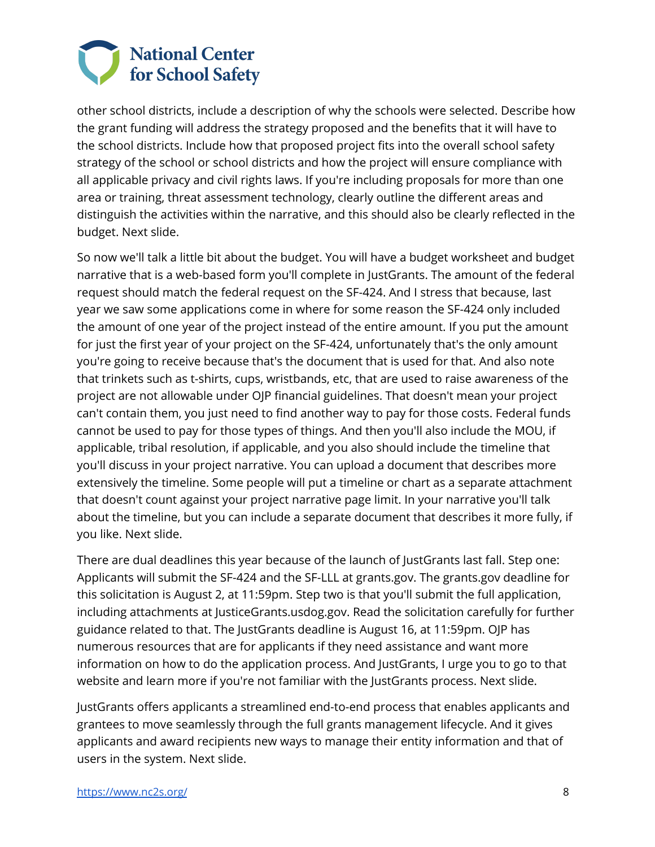

 other school districts, include a description of why the schools were selected. Describe how the grant funding will address the strategy proposed and the benefits that it will have to the school districts. Include how that proposed project fits into the overall school safety strategy of the school or school districts and how the project will ensure compliance with all applicable privacy and civil rights laws. If you're including proposals for more than one area or training, threat assessment technology, clearly outline the different areas and distinguish the activities within the narrative, and this should also be clearly reflected in the budget. Next slide.

 So now we'll talk a little bit about the budget. You will have a budget worksheet and budget narrative that is a web-based form you'll complete in JustGrants. The amount of the federal request should match the federal request on the SF-424. And I stress that because, last year we saw some applications come in where for some reason the SF-424 only included the amount of one year of the project instead of the entire amount. If you put the amount for just the first year of your project on the SF-424, unfortunately that's the only amount you're going to receive because that's the document that is used for that. And also note that trinkets such as t-shirts, cups, wristbands, etc, that are used to raise awareness of the project are not allowable under OJP financial guidelines. That doesn't mean your project can't contain them, you just need to find another way to pay for those costs. Federal funds cannot be used to pay for those types of things. And then you'll also include the MOU, if applicable, tribal resolution, if applicable, and you also should include the timeline that you'll discuss in your project narrative. You can upload a document that describes more extensively the timeline. Some people will put a timeline or chart as a separate attachment that doesn't count against your project narrative page limit. In your narrative you'll talk about the timeline, but you can include a separate document that describes it more fully, if you like. Next slide.

 There are dual deadlines this year because of the launch of JustGrants last fall. Step one: Applicants will submit the SF-424 and the SF-LLL at [grants.gov.](https://grants.gov) The [grants.gov](https://grants.gov) deadline for this solicitation is August 2, at 11:59pm. Step two is that you'll submit the full application, including attachments at [JusticeGrants.usdog.gov](https://JusticeGrants.usdog.gov). Read the solicitation carefully for further guidance related to that. The JustGrants deadline is August 16, at 11:59pm. OJP has numerous resources that are for applicants if they need assistance and want more information on how to do the application process. And JustGrants, I urge you to go to that website and learn more if you're not familiar with the JustGrants process. Next slide.

 JustGrants offers applicants a streamlined end-to-end process that enables applicants and grantees to move seamlessly through the full grants management lifecycle. And it gives applicants and award recipients new ways to manage their entity information and that of users in the system. Next slide.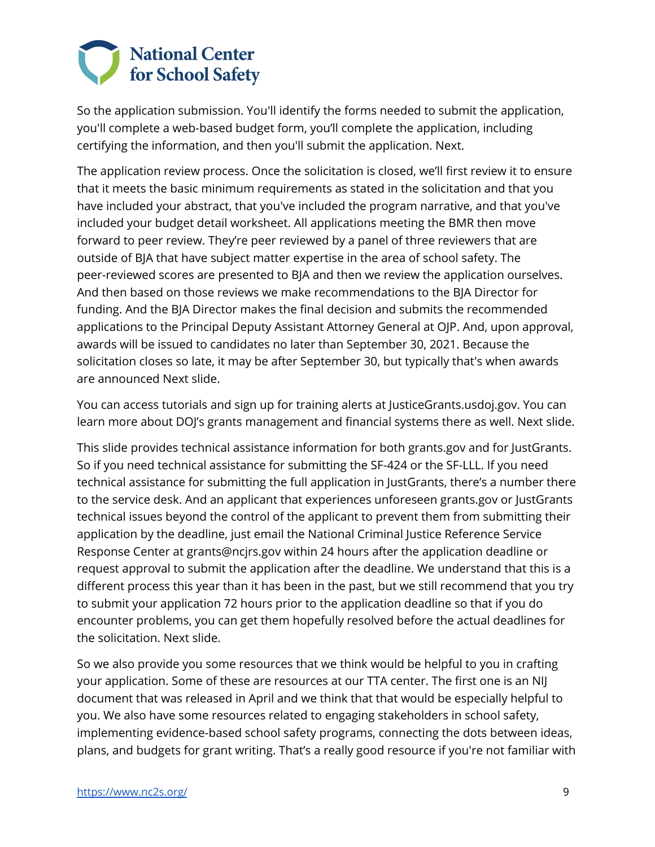

 So the application submission. You'll identify the forms needed to submit the application, you'll complete a web-based budget form, you'll complete the application, including certifying the information, and then you'll submit the application. Next.

 The application review process. Once the solicitation is closed, we'll first review it to ensure that it meets the basic minimum requirements as stated in the solicitation and that you have included your abstract, that you've included the program narrative, and that you've included your budget detail worksheet. All applications meeting the BMR then move forward to peer review. They're peer reviewed by a panel of three reviewers that are outside of BJA that have subject matter expertise in the area of school safety. The peer-reviewed scores are presented to BJA and then we review the application ourselves. And then based on those reviews we make recommendations to the BJA Director for funding. And the BJA Director makes the final decision and submits the recommended applications to the Principal Deputy Assistant Attorney General at OJP. And, upon approval, awards will be issued to candidates no later than September 30, 2021. Because the solicitation closes so late, it may be after September 30, but typically that's when awards are announced Next slide.

 You can access tutorials and sign up for training alerts at [JusticeGrants.usdoj.gov](https://JusticeGrants.usdoj.gov). You can learn more about DOJ's grants management and financial systems there as well. Next slide.

 This slide provides technical assistance information for both [grants.gov](https://grants.gov) and for JustGrants. So if you need technical assistance for submitting the SF-424 or the SF-LLL. If you need technical assistance for submitting the full application in JustGrants, there's a number there to the service desk. And an applicant that experiences unforeseen [grants.gov](https://grants.gov) or JustGrants technical issues beyond the control of the applicant to prevent them from submitting their application by the deadline, just email the National Criminal Justice Reference Service Response Center at [grants@ncjrs.gov](mailto:grants@ncjrs.gov) within 24 hours after the application deadline or request approval to submit the application after the deadline. We understand that this is a different process this year than it has been in the past, but we still recommend that you try to submit your application 72 hours prior to the application deadline so that if you do encounter problems, you can get them hopefully resolved before the actual deadlines for the solicitation. Next slide.

 So we also provide you some resources that we think would be helpful to you in crafting your application. Some of these are resources at our TTA center. The first one is an NIJ document that was released in April and we think that that would be especially helpful to you. We also have some resources related to engaging stakeholders in school safety, implementing evidence-based school safety programs, connecting the dots between ideas, plans, and budgets for grant writing. That's a really good resource if you're not familiar with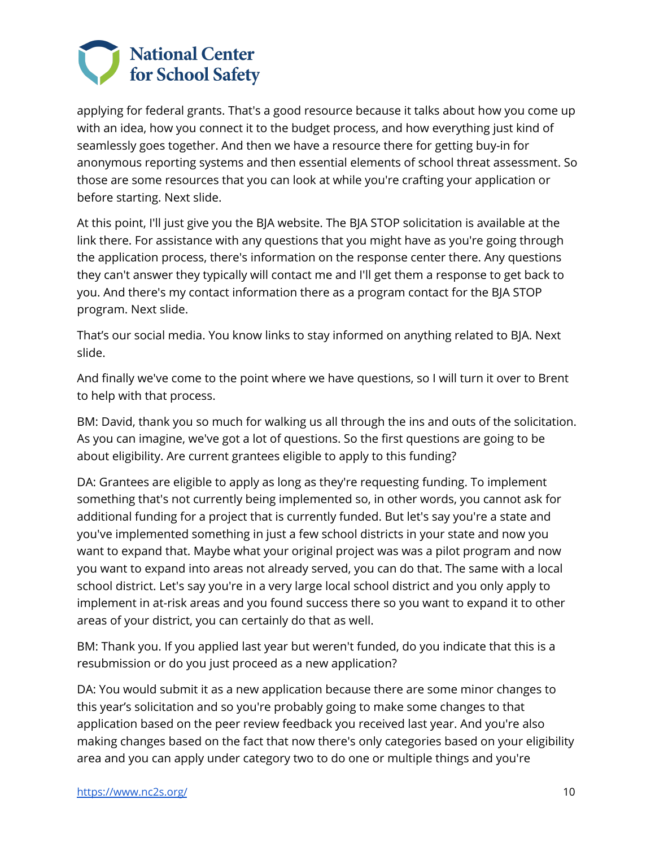

 applying for federal grants. That's a good resource because it talks about how you come up with an idea, how you connect it to the budget process, and how everything just kind of seamlessly goes together. And then we have a resource there for getting buy-in for anonymous reporting systems and then essential elements of school threat assessment. So those are some resources that you can look at while you're crafting your application or before starting. Next slide.

 At this point, I'll just give you the BJA website. The BJA STOP solicitation is available at the link there. For assistance with any questions that you might have as you're going through the application process, there's information on the response center there. Any questions they can't answer they typically will contact me and I'll get them a response to get back to you. And there's my contact information there as a program contact for the BJA STOP program. Next slide.

 That's our social media. You know links to stay informed on anything related to BJA. Next slide.

 And finally we've come to the point where we have questions, so I will turn it over to Brent to help with that process.

 BM: David, thank you so much for walking us all through the ins and outs of the solicitation. As you can imagine, we've got a lot of questions. So the first questions are going to be about eligibility. Are current grantees eligible to apply to this funding?

 DA: Grantees are eligible to apply as long as they're requesting funding. To implement something that's not currently being implemented so, in other words, you cannot ask for additional funding for a project that is currently funded. But let's say you're a state and you've implemented something in just a few school districts in your state and now you want to expand that. Maybe what your original project was was a pilot program and now you want to expand into areas not already served, you can do that. The same with a local school district. Let's say you're in a very large local school district and you only apply to implement in at-risk areas and you found success there so you want to expand it to other areas of your district, you can certainly do that as well.

 BM: Thank you. If you applied last year but weren't funded, do you indicate that this is a resubmission or do you just proceed as a new application?

 DA: You would submit it as a new application because there are some minor changes to this year's solicitation and so you're probably going to make some changes to that application based on the peer review feedback you received last year. And you're also making changes based on the fact that now there's only categories based on your eligibility area and you can apply under category two to do one or multiple things and you're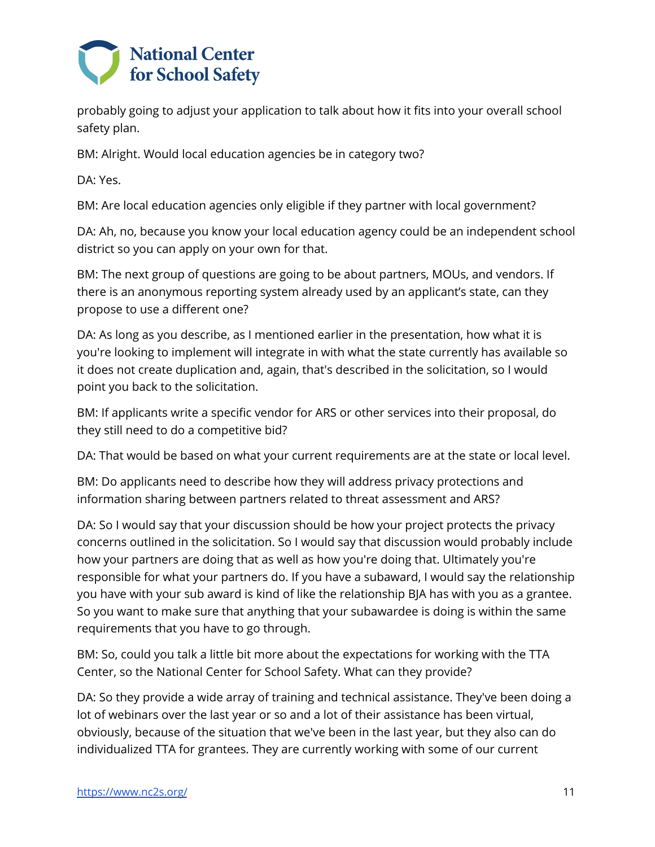

 probably going to adjust your application to talk about how it fits into your overall school safety plan.

BM: Alright. Would local education agencies be in category two?

DA: Yes.

BM: Are local education agencies only eligible if they partner with local government?

 DA: Ah, no, because you know your local education agency could be an independent school district so you can apply on your own for that.

 BM: The next group of questions are going to be about partners, MOUs, and vendors. If there is an anonymous reporting system already used by an applicant's state, can they propose to use a different one?

 DA: As long as you describe, as I mentioned earlier in the presentation, how what it is you're looking to implement will integrate in with what the state currently has available so it does not create duplication and, again, that's described in the solicitation, so I would point you back to the solicitation.

 BM: If applicants write a specific vendor for ARS or other services into their proposal, do they still need to do a competitive bid?

DA: That would be based on what your current requirements are at the state or local level.

 BM: Do applicants need to describe how they will address privacy protections and information sharing between partners related to threat assessment and ARS?

 DA: So I would say that your discussion should be how your project protects the privacy concerns outlined in the solicitation. So I would say that discussion would probably include how your partners are doing that as well as how you're doing that. Ultimately you're responsible for what your partners do. If you have a subaward, I would say the relationship you have with your sub award is kind of like the relationship BJA has with you as a grantee. So you want to make sure that anything that your subawardee is doing is within the same requirements that you have to go through.

 BM: So, could you talk a little bit more about the expectations for working with the TTA Center, so the National Center for School Safety. What can they provide?

 DA: So they provide a wide array of training and technical assistance. They've been doing a lot of webinars over the last year or so and a lot of their assistance has been virtual, obviously, because of the situation that we've been in the last year, but they also can do individualized TTA for grantees. They are currently working with some of our current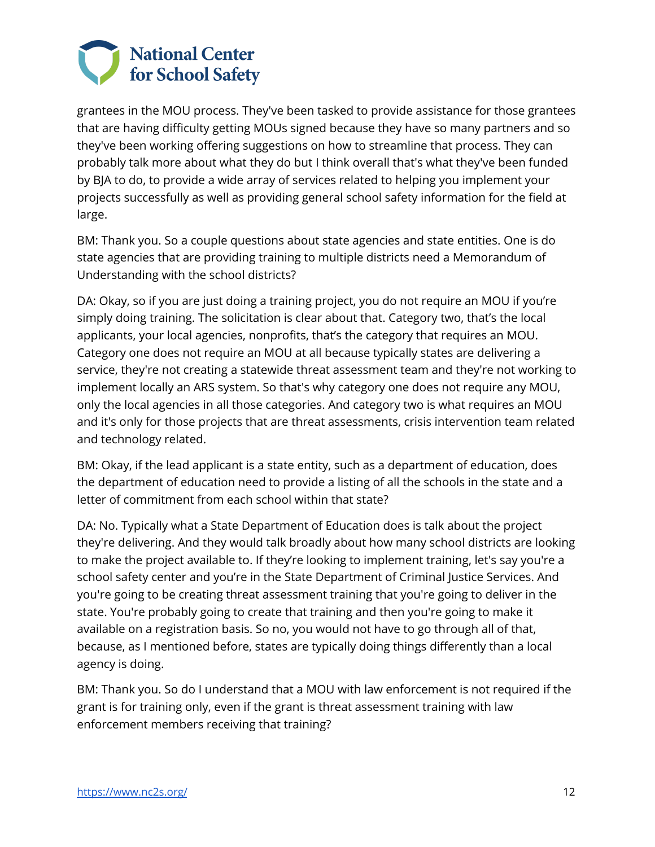

 grantees in the MOU process. They've been tasked to provide assistance for those grantees that are having difficulty getting MOUs signed because they have so many partners and so they've been working offering suggestions on how to streamline that process. They can probably talk more about what they do but I think overall that's what they've been funded by BJA to do, to provide a wide array of services related to helping you implement your projects successfully as well as providing general school safety information for the field at large.

 BM: Thank you. So a couple questions about state agencies and state entities. One is do state agencies that are providing training to multiple districts need a Memorandum of Understanding with the school districts?

 DA: Okay, so if you are just doing a training project, you do not require an MOU if you're simply doing training. The solicitation is clear about that. Category two, that's the local applicants, your local agencies, nonprofits, that's the category that requires an MOU. Category one does not require an MOU at all because typically states are delivering a service, they're not creating a statewide threat assessment team and they're not working to implement locally an ARS system. So that's why category one does not require any MOU, only the local agencies in all those categories. And category two is what requires an MOU and it's only for those projects that are threat assessments, crisis intervention team related and technology related.

 BM: Okay, if the lead applicant is a state entity, such as a department of education, does the department of education need to provide a listing of all the schools in the state and a letter of commitment from each school within that state?

 DA: No. Typically what a State Department of Education does is talk about the project they're delivering. And they would talk broadly about how many school districts are looking to make the project available to. If they're looking to implement training, let's say you're a school safety center and you're in the State Department of Criminal Justice Services. And you're going to be creating threat assessment training that you're going to deliver in the state. You're probably going to create that training and then you're going to make it available on a registration basis. So no, you would not have to go through all of that, because, as I mentioned before, states are typically doing things differently than a local agency is doing.

 BM: Thank you. So do I understand that a MOU with law enforcement is not required if the grant is for training only, even if the grant is threat assessment training with law enforcement members receiving that training?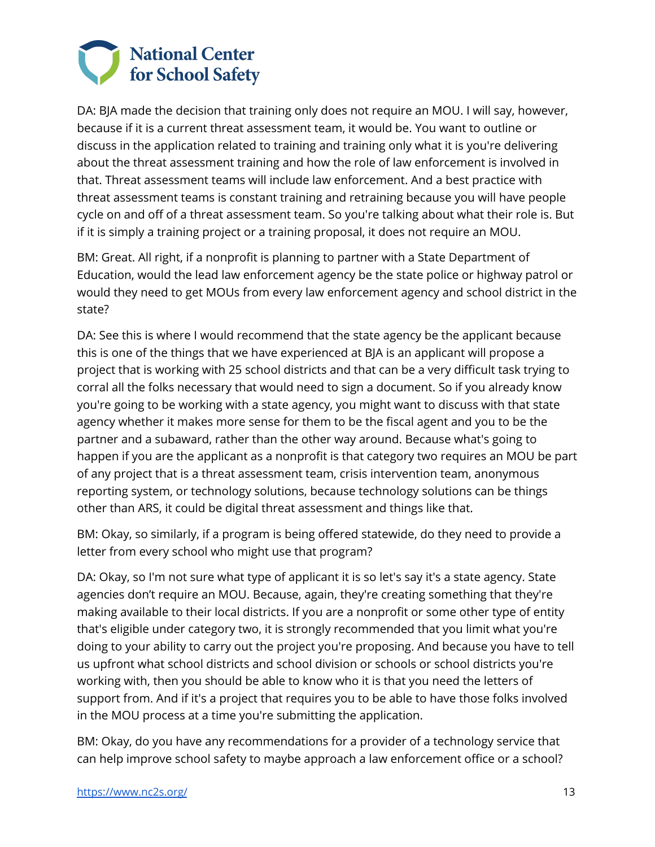

 DA: BJA made the decision that training only does not require an MOU. I will say, however, because if it is a current threat assessment team, it would be. You want to outline or discuss in the application related to training and training only what it is you're delivering about the threat assessment training and how the role of law enforcement is involved in that. Threat assessment teams will include law enforcement. And a best practice with threat assessment teams is constant training and retraining because you will have people cycle on and off of a threat assessment team. So you're talking about what their role is. But if it is simply a training project or a training proposal, it does not require an MOU.

 BM: Great. All right, if a nonprofit is planning to partner with a State Department of Education, would the lead law enforcement agency be the state police or highway patrol or would they need to get MOUs from every law enforcement agency and school district in the state?

 DA: See this is where I would recommend that the state agency be the applicant because this is one of the things that we have experienced at BJA is an applicant will propose a project that is working with 25 school districts and that can be a very difficult task trying to corral all the folks necessary that would need to sign a document. So if you already know you're going to be working with a state agency, you might want to discuss with that state agency whether it makes more sense for them to be the fiscal agent and you to be the partner and a subaward, rather than the other way around. Because what's going to happen if you are the applicant as a nonprofit is that category two requires an MOU be part of any project that is a threat assessment team, crisis intervention team, anonymous reporting system, or technology solutions, because technology solutions can be things other than ARS, it could be digital threat assessment and things like that.

 BM: Okay, so similarly, if a program is being offered statewide, do they need to provide a letter from every school who might use that program?

 DA: Okay, so I'm not sure what type of applicant it is so let's say it's a state agency. State agencies don't require an MOU. Because, again, they're creating something that they're making available to their local districts. If you are a nonprofit or some other type of entity that's eligible under category two, it is strongly recommended that you limit what you're doing to your ability to carry out the project you're proposing. And because you have to tell us upfront what school districts and school division or schools or school districts you're working with, then you should be able to know who it is that you need the letters of support from. And if it's a project that requires you to be able to have those folks involved in the MOU process at a time you're submitting the application.

 BM: Okay, do you have any recommendations for a provider of a technology service that can help improve school safety to maybe approach a law enforcement office or a school?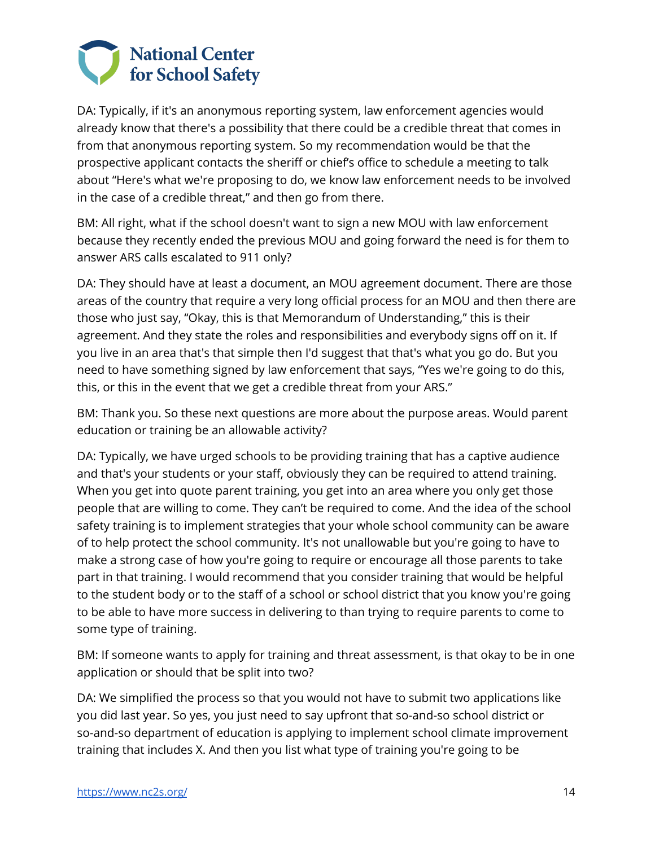

 DA: Typically, if it's an anonymous reporting system, law enforcement agencies would already know that there's a possibility that there could be a credible threat that comes in from that anonymous reporting system. So my recommendation would be that the prospective applicant contacts the sheriff or chief's office to schedule a meeting to talk about "Here's what we're proposing to do, we know law enforcement needs to be involved in the case of a credible threat," and then go from there.

 BM: All right, what if the school doesn't want to sign a new MOU with law enforcement because they recently ended the previous MOU and going forward the need is for them to answer ARS calls escalated to 911 only?

 DA: They should have at least a document, an MOU agreement document. There are those areas of the country that require a very long official process for an MOU and then there are those who just say, "Okay, this is that Memorandum of Understanding," this is their agreement. And they state the roles and responsibilities and everybody signs off on it. If you live in an area that's that simple then I'd suggest that that's what you go do. But you need to have something signed by law enforcement that says, "Yes we're going to do this, this, or this in the event that we get a credible threat from your ARS."

 BM: Thank you. So these next questions are more about the purpose areas. Would parent education or training be an allowable activity?

 DA: Typically, we have urged schools to be providing training that has a captive audience and that's your students or your staff, obviously they can be required to attend training. When you get into quote parent training, you get into an area where you only get those people that are willing to come. They can't be required to come. And the idea of the school safety training is to implement strategies that your whole school community can be aware of to help protect the school community. It's not unallowable but you're going to have to make a strong case of how you're going to require or encourage all those parents to take part in that training. I would recommend that you consider training that would be helpful to the student body or to the staff of a school or school district that you know you're going to be able to have more success in delivering to than trying to require parents to come to some type of training.

 BM: If someone wants to apply for training and threat assessment, is that okay to be in one application or should that be split into two?

 DA: We simplified the process so that you would not have to submit two applications like you did last year. So yes, you just need to say upfront that so-and-so school district or so-and-so department of education is applying to implement school climate improvement training that includes X. And then you list what type of training you're going to be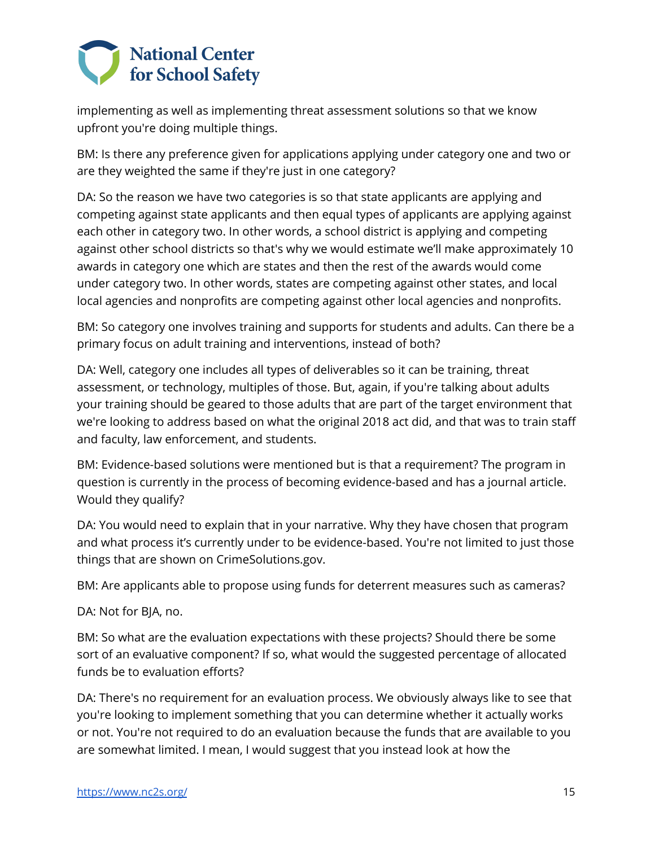

 implementing as well as implementing threat assessment solutions so that we know upfront you're doing multiple things.

 BM: Is there any preference given for applications applying under category one and two or are they weighted the same if they're just in one category?

 DA: So the reason we have two categories is so that state applicants are applying and competing against state applicants and then equal types of applicants are applying against each other in category two. In other words, a school district is applying and competing against other school districts so that's why we would estimate we'll make approximately 10 awards in category one which are states and then the rest of the awards would come under category two. In other words, states are competing against other states, and local local agencies and nonprofits are competing against other local agencies and nonprofits.

 BM: So category one involves training and supports for students and adults. Can there be a primary focus on adult training and interventions, instead of both?

 DA: Well, category one includes all types of deliverables so it can be training, threat assessment, or technology, multiples of those. But, again, if you're talking about adults your training should be geared to those adults that are part of the target environment that we're looking to address based on what the original 2018 act did, and that was to train staff and faculty, law enforcement, and students.

 BM: Evidence-based solutions were mentioned but is that a requirement? The program in question is currently in the process of becoming evidence-based and has a journal article. Would they qualify?

 DA: You would need to explain that in your narrative. Why they have chosen that program and what process it's currently under to be evidence-based. You're not limited to just those things that are shown on [CrimeSolutions.gov.](https://CrimeSolutions.gov)

BM: Are applicants able to propose using funds for deterrent measures such as cameras?

DA: Not for BJA, no.

 BM: So what are the evaluation expectations with these projects? Should there be some sort of an evaluative component? If so, what would the suggested percentage of allocated funds be to evaluation efforts?

 DA: There's no requirement for an evaluation process. We obviously always like to see that you're looking to implement something that you can determine whether it actually works or not. You're not required to do an evaluation because the funds that are available to you are somewhat limited. I mean, I would suggest that you instead look at how the